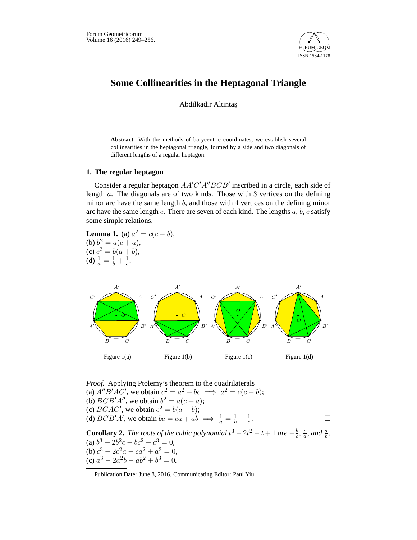

## **Some Collinearities in the Heptagonal Triangle**

Abdilkadir Altintas¸

**Abstract**. With the methods of barycentric coordinates, we establish several collinearities in the heptagonal triangle, formed by a side and two diagonals of different lengths of a regular heptagon.

## **1. The regular heptagon**

Consider a regular heptagon  $AA'C'A''BCB'$  inscribed in a circle, each side of length *a*. The diagonals are of two kinds. Those with 3 vertices on the defining minor arc have the same length *b*, and those with 4 vertices on the defining minor arc have the same length *c*. There are seven of each kind. The lengths *a*, *b*, *c* satisfy some simple relations.

**Lemma 1.** (a)  $a^2 = c(c - b)$ , (b)  $b^2 = a(c + a)$ , (c)  $c^2 = b(a + b)$ , (d)  $\frac{1}{a} = \frac{1}{b} + \frac{1}{c}$ .



*Proof.* Applying Ptolemy's theorem to the quadrilaterals (a)  $A''B'AC'$ , we obtain  $c^2 = a^2 + bc \implies a^2 = c(c - b);$ (b)  $BCB'A''$ , we obtain  $b^2 = a(c+a)$ ; (c) *BCAC'*, we obtain  $c^2 = b(a + b)$ ; (d)  $BCB'A'$ , we obtain  $bc = ca + ab \implies \frac{1}{a} = \frac{1}{b} + \frac{1}{c}$ .  $\Box$ **Corollary 2.** *The roots of the cubic polynomial*  $t^3 - 2t^2 - t + 1$  *are*  $-\frac{b}{c}$ ,  $\frac{c}{a}$ *, and*  $\frac{a}{b}$ *.* 

 $(a) b^3 + 2b^2c - bc^2 - c^3 = 0,$ (b)  $c^3 - 2c^2a - ca^2 + a^3 = 0,$ (c)  $a^3 - 2a^2b - ab^2 + b^3 = 0.$ 

Publication Date: June 8, 2016. Communicating Editor: Paul Yiu.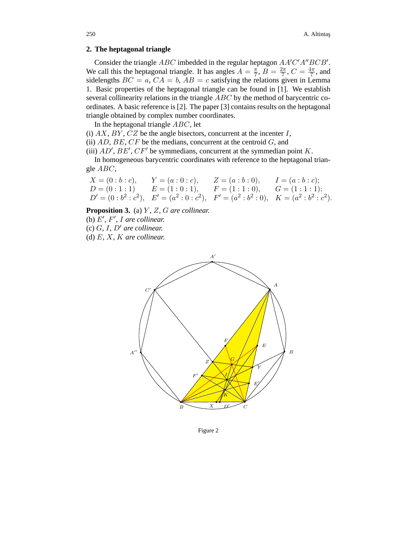## **2. The heptagonal triangle**

Consider the triangle *ABC* imbedded in the regular heptagon *AA<sup>'</sup>C'A*"*BCB'*. We call this the heptagonal triangle. It has angles  $A = \frac{\pi}{7}$ ,  $B = \frac{2\pi}{7}$ ,  $C = \frac{4\pi}{7}$ , and sidelengths  $BC = a$ ,  $CA = b$ ,  $AB = c$  satisfying the relations given in Lemma 1. Basic properties of the heptagonal triangle can be found in [1]. We establish several collinearity relations in the triangle *ABC* by the method of barycentric coordinates. A basic reference is [2]. The paper [3] contains results on the heptagonal triangle obtained by complex number coordinates.

In the heptagonal triangle *ABC*, let

(i) *AX*, *BY* , *CZ* be the angle bisectors, concurrent at the incenter *I*,

(ii) *AD*, *BE*, *CF* be the medians, concurrent at the centroid *G*, and

(iii)  $AD'$ ,  $BE'$ ,  $CF'$  be symmedians, concurrent at the symmedian point  $K$ .

In homogeneous barycentric coordinates with reference to the heptagonal triangle *ABC*,

| $X = (0:b:c),$ | $Y = (a:0:c),$                                                                               | $Z = (a:b:0),$ | $I = (a:b:c);$ |
|----------------|----------------------------------------------------------------------------------------------|----------------|----------------|
|                | $D = (0:1:1)$ $E = (1:0:1),$ $F = (1:1:0),$ $G = (1:1:1);$                                   |                |                |
|                | $D' = (0:b^2:c^2), \quad E' = (a^2:0:c^2), \quad F' = (a^2:b^2:0), \quad K = (a^2:b^2:c^2).$ |                |                |

**Proposition 3.** (a) *Y , Z, G are collinear.*

(b)  $E'$ ,  $F'$ ,  $I$  are collinear.

 $(c)$  *G*, *I*, *D'* are collinear.

(d) *E, X, K are collinear.*



Figure 2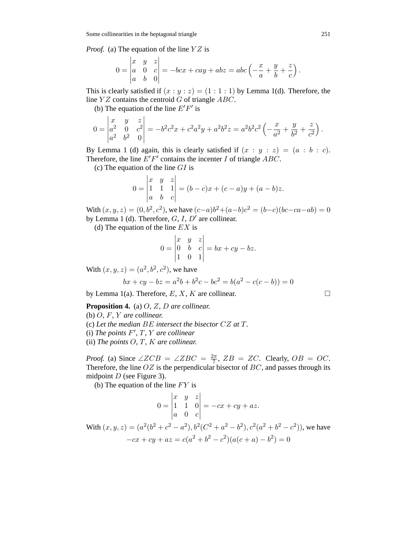*Proof.* (a) The equation of the line *Y Z* is

$$
0 = \begin{vmatrix} x & y & z \\ a & 0 & c \\ a & b & 0 \end{vmatrix} = -bcx + cay + abz = abc\left(-\frac{x}{a} + \frac{y}{b} + \frac{z}{c}\right).
$$

This is clearly satisfied if  $(x : y : z) = (1 : 1 : 1)$  by Lemma 1(d). Therefore, the line *Y Z* contains the centroid *G* of triangle *ABC*.

(b) The equation of the line  $E'F'$  is

$$
0 = \begin{vmatrix} x & y & z \\ a^2 & 0 & c^2 \\ a^2 & b^2 & 0 \end{vmatrix} = -b^2c^2x + c^2a^2y + a^2b^2z = a^2b^2c^2\left(-\frac{x}{a^2} + \frac{y}{b^2} + \frac{z}{c^2}\right).
$$

By Lemma 1 (d) again, this is clearly satisfied if  $(x : y : z) = (a : b : c)$ . Therefore, the line  $E'F'$  contains the incenter *I* of triangle  $ABC$ .

(c) The equation of the line *GI* is

$$
0 = \begin{vmatrix} x & y & z \\ 1 & 1 & 1 \\ a & b & c \end{vmatrix} = (b - c)x + (c - a)y + (a - b)z.
$$

With  $(x, y, z) = (0, b^2, c^2)$ , we have  $(c-a)b^2 + (a-b)c^2 = (b-c)(bc-ca-ab) = 0$ by Lemma 1 (d). Therefore, *G*, *I*, *D'* are collinear.

(d) The equation of the line *EX* is

$$
0 = \begin{vmatrix} x & y & z \\ 0 & b & c \\ 1 & 0 & 1 \end{vmatrix} = bx + cy - bz.
$$

With  $(x, y, z) = (a^2, b^2, c^2)$ , we have

$$
bx + cy - bz = a2b + b2c - bc2 = b(a2 - c(c - b)) = 0
$$

by Lemma 1(a). Therefore,  $E, X, K$  are collinear.  $\square$ 

**Proposition 4.** (a) *O, Z, D are collinear.*

(b) *O, F, Y are collinear.* (c) *Let the median BE intersect the bisector CZ at T.*  $(i)$  *The points*  $F'$ ,  $T$ ,  $Y$  *are collinear* (ii) *The points O, T, K are collinear.*

*Proof.* (a) Since  $\angle ZCB = \angle ZBC = \frac{2\pi}{7}$ ,  $ZB = ZC$ . Clearly,  $OB = OC$ . Therefore, the line *OZ* is the perpendicular bisector of *BC*, and passes through its midpoint *D* (see Figure 3).

(b) The equation of the line *F Y* is

$$
0 = \begin{vmatrix} x & y & z \\ 1 & 1 & 0 \\ a & 0 & c \end{vmatrix} = -cx + cy + az.
$$
  
With  $(x, y, z) = (a^2(b^2 + c^2 - a^2), b^2(C^2 + a^2 - b^2), c^2(a^2 + b^2 - c^2))$ , we have  

$$
-cx + cy + az = c(a^2 + b^2 - c^2)(a(c + a) - b^2) = 0
$$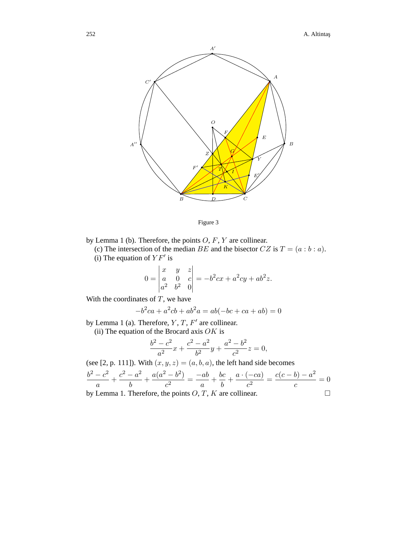



by Lemma 1 (b). Therefore, the points *O*, *F*, *Y* are collinear.

(c) The intersection of the median *BE* and the bisector *CZ* is  $T = (a : b : a)$ . (i) The equation of  $YF'$  is

$$
0 = \begin{vmatrix} x & y & z \\ a & 0 & c \\ a^2 & b^2 & 0 \end{vmatrix} = -b^2cx + a^2cy + ab^2z.
$$

With the coordinates of *T*, we have

$$
-b2ca + a2cb + ab2a = ab(-bc + ca + ab) = 0
$$

by Lemma 1 (a). Therefore,  $Y, T, F'$  are collinear.

(ii) The equation of the Brocard axis *OK* is

$$
\frac{b^2 - c^2}{a^2}x + \frac{c^2 - a^2}{b^2}y + \frac{a^2 - b^2}{c^2}z = 0,
$$

(see [2, p. 111]). With  $(x, y, z) = (a, b, a)$ , the left hand side becomes  $b^2 - c^2$  $\frac{c^2}{a} + \frac{c^2 - a^2}{b}$  $\frac{a}{b}$  +  $\frac{a(a^2 - b^2)}{c^2} = \frac{-ab}{a} + \frac{bc}{b} + \frac{a \cdot (-ca)}{c^2} = \frac{c(c - b) - a^2}{c} = 0$ 

by Lemma 1. Therefore, the points  $O, T, K$  are collinear.  $\Box$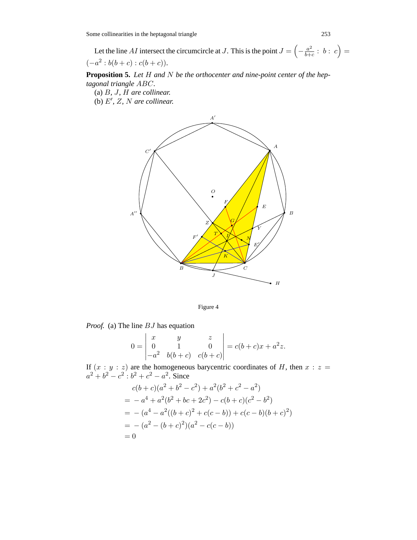Some collinearities in the heptagonal triangle 253

Let the line *AI* intersect the circumcircle at *J*. This is the point  $J = \left(-\frac{a^2}{b+c} : b : c\right) =$  $(-a^2 : b(b+c) : c(b+c)).$ 

**Proposition 5.** *Let H and N be the orthocenter and nine-point center of the heptagonal triangle ABC.*

(a) *B, J, H are collinear.*

(b)  $E'$ ,  $Z$ ,  $N$  are collinear.





*Proof.* (a) The line *BJ* has equation

$$
0 = \begin{vmatrix} x & y & z \\ 0 & 1 & 0 \\ -a^2 & b(b+c) & c(b+c) \end{vmatrix} = c(b+c)x + a^2z.
$$

If  $(x : y : z)$  are the homogeneous barycentric coordinates of *H*, then  $x : z =$  $a^2 + b^2 - c^2$ :  $b^2 + c^2 - a^2$ . Since

$$
c(b + c)(a2 + b2 - c2) + a2(b2 + c2 - a2)
$$
  
= -a<sup>4</sup> + a<sup>2</sup>(b<sup>2</sup> + bc + 2c<sup>2</sup>) - c(b + c)(c<sup>2</sup> - b<sup>2</sup>)  
= -(a<sup>4</sup> - a<sup>2</sup>((b + c)<sup>2</sup> + c(c - b)) + c(c - b)(b + c)<sup>2</sup>)  
= -(a<sup>2</sup> - (b + c)<sup>2</sup>)(a<sup>2</sup> - c(c - b))  
= 0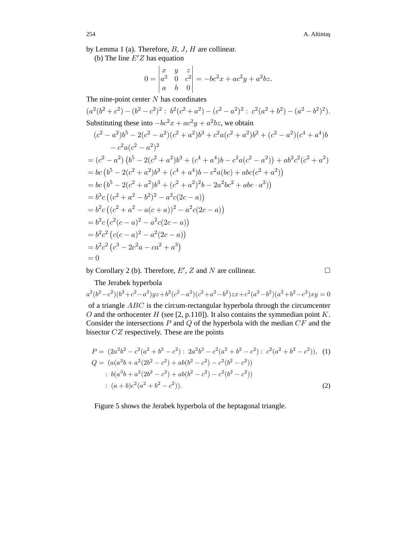by Lemma 1 (a). Therefore, *B*, *J*, *H* are collinear.

(b) The line  $E'Z$  has equation

$$
0 = \begin{vmatrix} x & y & z \\ a^2 & 0 & c^2 \\ a & b & 0 \end{vmatrix} = -bc^2x + ac^2y + a^2bz.
$$

The nine-point center *N* has coordinates

$$
(a^{2}(b^{2}+c^{2}) - (b^{2}-c^{2})^{2}: b^{2}(c^{2}+a^{2}) - (c^{2}-a^{2})^{2}: c^{2}(a^{2}+b^{2}) - (a^{2}-b^{2})^{2}).
$$
  
\nSubstituting these into  $-bc^{2}x + ac^{2}y + a^{2}bz$ , we obtain  
\n
$$
(c^{2}-a^{2})b^{5} - 2(c^{2}-a^{2})(c^{2}+a^{2})b^{3} + c^{2}a(c^{2}+a^{2})b^{2} + (c^{2}-a^{2})(c^{4}+a^{4})b - c^{2}a(c^{2}-a^{2})^{2}
$$
\n
$$
= (c^{2}-a^{2}) (b^{5} - 2(c^{2}+a^{2})b^{3} + (c^{4}+a^{4})b - c^{2}a(c^{2}-a^{2})) + ab^{2}c^{2}(c^{2}+a^{2})
$$
\n
$$
= bc (b^{5} - 2(c^{2}+a^{2})b^{3} + (c^{4}+a^{4})b - c^{2}a(bc) + abc(c^{2}+a^{2}))
$$
\n
$$
= bc (b^{5} - 2(c^{2}+a^{2})b^{3} + (c^{2}+a^{2})^{2}b - 2a^{2}bc^{2} + abc \cdot a^{2}))
$$
\n
$$
= b^{3}c ((c^{2}+a^{2}-b^{2})^{2} - a^{2}c(2c-a))
$$
\n
$$
= b^{2}c ((c^{2}+a^{2}-a(c+a))^{2} - a^{2}c(2c-a))
$$
\n
$$
= b^{2}c (c^{2}(c-a)^{2} - a^{2}(2c-a))
$$
\n
$$
= b^{2}c^{2} (c(c-a)^{2} - a^{2}(2c-a))
$$
\n
$$
= b^{2}c^{2} (c^{3} - 2c^{2}a - ca^{2} + a^{3})
$$
\n
$$
= 0
$$

by Corollary 2 (b). Therefore,  $E'$ ,  $Z$  and  $N$  are collinear.  $\Box$ 

 $\Box$ 

The Jerabek hyperbola  $a^2(b^2-c^2)(b^2+c^2-a^2)yz+b^2(c^2-a^2)(c^2+a^2-b^2)zx+c^2(a^2-b^2)(a^2+b^2-c^2)xy=0$ of a triangle *ABC* is the circum-rectangular hyperbola through the circumcenter *O* and the orthocenter *H* (see [2, p.110]). It also contains the symmedian point *K*. Consider the intersections *P* and *Q* of the hyperbola with the median *CF* and the bisector *CZ* respectively. These are the points

$$
P = (2a^2b^2 - c^2(a^2 + b^2 - c^2) : 2a^2b^2 - c^2(a^2 + b^2 - c^2) : c^2(a^2 + b^2 - c^2)), (1)
$$
  
\n
$$
Q = (a(a^3b + a^2(2b^2 - c^2) + ab(b^2 - c^2) - c^2(b^2 - c^2))
$$
  
\n
$$
= b(a^3b + a^2(2b^2 - c^2) + ab(b^2 - c^2) - c^2(b^2 - c^2))
$$
  
\n
$$
= (a+b)c^2(a^2 + b^2 - c^2)).
$$
 (2)

Figure 5 shows the Jerabek hyperbola of the heptagonal triangle.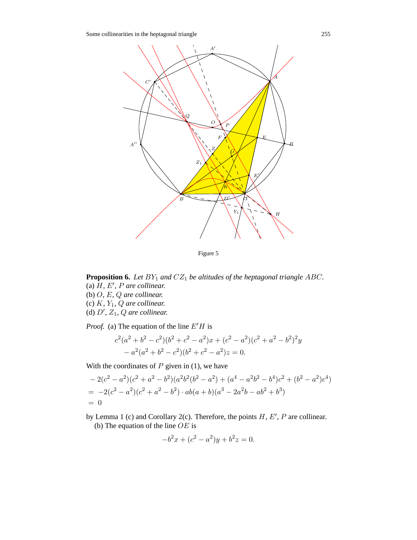Some collinearities in the heptagonal triangle 255



Figure 5

**Proposition 6.** *Let BY*<sup>1</sup> *and CZ*<sup>1</sup> *be altitudes of the heptagonal triangle ABC.* (a)  $H$ *, E', P* are collinear.

- (b) *O, E, Q are collinear.*
- (c) *K, Y*1*, Q are collinear.*
- (d)  $D'$ ,  $Z_1$ ,  $Q$  are collinear.

*Proof.* (a) The equation of the line  $E'H$  is

$$
c2(a2 + b2 - c2)(b2 + c2 - a2)x + (c2 - a2)(c2 + a2 - b2)2y
$$
  
- a<sup>2</sup>(a<sup>2</sup> + b<sup>2</sup> - c<sup>2</sup>)(b<sup>2</sup> + c<sup>2</sup> - a<sup>2</sup>)z = 0.

With the coordinates of  $P$  given in (1), we have

$$
-2(c^2 - a^2)(c^2 + a^2 - b^2)(a^2b^2(b^2 - a^2) + (a^4 - a^2b^2 - b^4)c^2 + (b^2 - a^2)c^4)
$$
  
= -2(c<sup>2</sup> - a<sup>2</sup>)(c<sup>2</sup> + a<sup>2</sup> - b<sup>2</sup>) · ab(a + b)(a<sup>3</sup> - 2a<sup>2</sup>b - ab<sup>2</sup> + b<sup>3</sup>)  
= 0

by Lemma 1 (c) and Corollary 2(c). Therefore, the points  $H, E', P$  are collinear. (b) The equation of the line *OE* is

$$
-b^2x + (c^2 - a^2)y + b^2z = 0.
$$